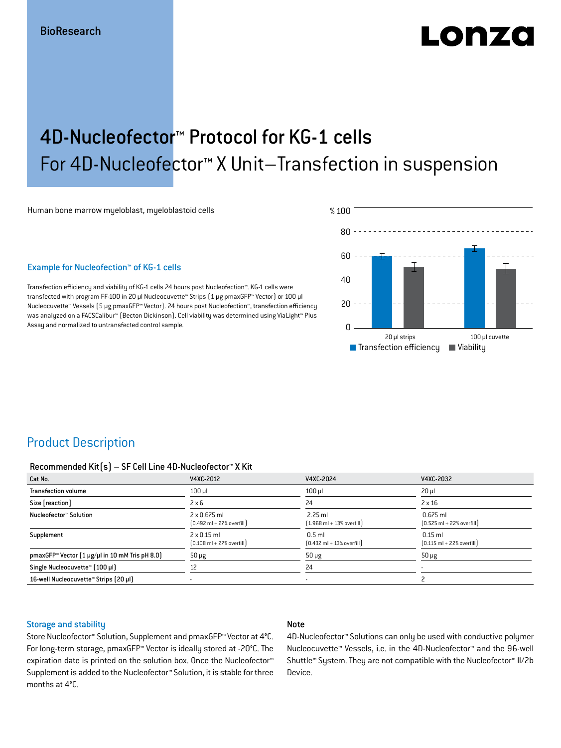# ON74

## 4D-Nucleofector™ Protocol for KG-1 cells For 4D-Nucleofector™ X Unit–Transfection in suspension

Human bone marrow myeloblast, myeloblastoid cells

#### Example for Nucleofection™ of KG-1 cells

Transfection efficiency and viability of KG-1 cells 24 hours post Nucleofection™. KG-1 cells were transfected with program FF-100 in 20 μl Nucleocuvette™ Strips (1 μg pmaxGFP™ Vector) or 100 μl Nucleocuvette™ Vessels (5 μg pmaxGFP™ Vector). 24 hours post Nucleofection™, transfection efficiency was analyzed on a FACSCalibur™ (Becton Dickinson). Cell viability was determined using ViaLight™ Plus Assay and normalized to untransfected control sample.



### Product Description

#### Recommended Kit(s) – SF Cell Line 4D-Nucleofector™ X Kit

| Cat No.                                                           | V4XC-2012                                                           | V4XC-2024                                                 | V4XC-2032                                                  |
|-------------------------------------------------------------------|---------------------------------------------------------------------|-----------------------------------------------------------|------------------------------------------------------------|
| <b>Transfection volume</b>                                        | $100$ $\mu$                                                         | $100$ $\mu$                                               | $20 \mu$                                                   |
| Size [reaction]                                                   | $2 \times 6$                                                        | 24                                                        | $2 \times 16$                                              |
| Nucleofector™ Solution                                            | $2 \times 0.675$ ml<br>$[0.492 \text{ ml} + 27\% \text{ overfill}]$ | $2.25$ ml<br>$[1.968 \text{ ml} + 13\% \text{ overfill}]$ | $0.675$ ml<br>$[0.525 \text{ ml} + 22\% \text{ overfill}]$ |
| Supplement                                                        | $2 \times 0.15$ ml<br>$[0.108 \text{ ml} + 27\% \text{ overfill}]$  | $0.5$ ml<br>$[0.432 \text{ ml} + 13\% \text{ overfill}]$  | $0.15$ ml<br>$[0.115 \text{ ml} + 22\% \text{ overfill}]$  |
| pmaxGFP <sup>*</sup> Vector $(1 \mu g/\mu)$ in 10 mM Tris pH 8.0) | $50 \mu g$                                                          | $50 \mu g$                                                | $50 \mu g$                                                 |
| Single Nucleocuvette™ [100 µl]                                    | 12                                                                  | 24                                                        |                                                            |
| 16-well Nucleocuvette™ Strips [20 µl]                             |                                                                     | $\overline{\phantom{a}}$                                  |                                                            |

### Storage and stability

### Note

Store Nucleofector™ Solution, Supplement and pmaxGFP™ Vector at 4°C. For long-term storage, pmaxGFP™ Vector is ideally stored at -20°C. The expiration date is printed on the solution box. Once the Nucleofector™ Supplement is added to the Nucleofector™ Solution, it is stable for three months at 4°C.

4D-Nucleofector™ Solutions can only be used with conductive polymer Nucleocuvette™ Vessels, i.e. in the 4D-Nucleofector™ and the 96-well Shuttle™ System. They are not compatible with the Nucleofector™ II/2b Device.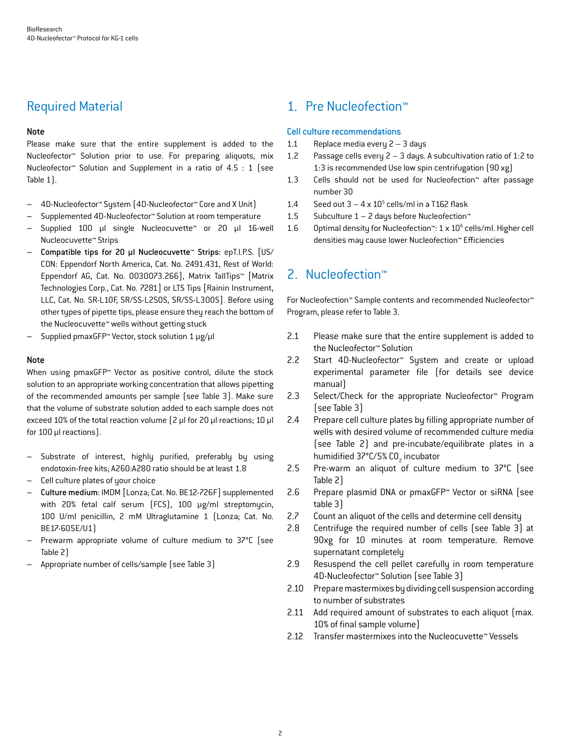### Required Material

### Note

Please make sure that the entire supplement is added to the Nucleofector™ Solution prior to use. For preparing aliquots, mix Nucleofector™ Solution and Supplement in a ratio of 4.5 : 1 (see Table 1).

- 4D-Nucleofector™ System (4D-Nucleofector™ Core and X Unit)
- Supplemented 4D-Nucleofector™ Solution at room temperature
- Supplied 100 µl single Nucleocuvette™ or 20 µl 16-well Nucleocuvette™ Strips
- Compatible tips for 20 µl Nucleocuvette™ Strips: epT.I.P.S. [US/ CDN: Eppendorf North America, Cat. No. 2491.431, Rest of World: Eppendorf AG, Cat. No. 0030073.266], Matrix TallTips™ [Matrix Technologies Corp., Cat. No. 7281] or LTS Tips [Rainin Instrument, LLC, Cat. No. SR-L10F, SR/SS-L250S, SR/SS-L300S]. Before using other types of pipette tips, please ensure they reach the bottom of the Nucleocuvette™ wells without getting stuck
- Supplied pmaxGFP™ Vector, stock solution 1 μg/μl

### **Note**

When using pmaxGFP<sup>™</sup> Vector as positive control, dilute the stock solution to an appropriate working concentration that allows pipetting of the recommended amounts per sample (see Table 3). Make sure that the volume of substrate solution added to each sample does not exceed 10% of the total reaction volume (2 μl for 20 μl reactions; 10 μl for 100 μl reactions).

- Substrate of interest, highly purified, preferably by using endotoxin-free kits; A260:A280 ratio should be at least 1.8
- Cell culture plates of your choice
- Culture medium: IMDM [Lonza; Cat. No. BE12-726F] supplemented with 20% fetal calf serum (FCS), 100 μg/ml streptomycin, 100 U/ml penicillin, 2 mM Ultraglutamine 1 (Lonza; Cat. No. BE17-605E/U1)
- Prewarm appropriate volume of culture medium to 37°C (see Table 2)
- Appropriate number of cells/sample (see Table 3)

### 1. Pre Nucleofection™

### Cell culture recommendations

- 1.1 Replace media every 2 3 days
- 1.2 Passage cells every 2 3 days. A subcultivation ratio of 1:2 to 1:3 is recommended Use low spin centrifugation (90 xg)
- 1.3 Cells should not be used for Nucleofection™ after passage number 30
- 1.4 Seed out  $3 4 \times 10^5$  cells/ml in a T162 flask
- 1.5 Subculture  $1 2$  days before Nucleofection<sup>™</sup>
- 1.6 Optimal density for Nucleofection<sup>™</sup>:  $1 \times 10^6$  cells/ml. Higher cell densities may cause lower Nucleofection™ Efficiencies

### 2. Nucleofection™

For Nucleofection™ Sample contents and recommended Nucleofector™ Program, please refer to Table 3.

- 2.1 Please make sure that the entire supplement is added to the Nucleofector™ Solution
- 2.2 Start 4D-Nucleofector™ System and create or upload experimental parameter file (for details see device manual)
- 2.3 Select/Check for the appropriate Nucleofector™ Program (see Table 3)
- 2.4 Prepare cell culture plates by filling appropriate number of wells with desired volume of recommended culture media (see Table 2) and pre-incubate/equilibrate plates in a humidified 37°C/5% CO<sub>2</sub> incubator
- 2.5 Pre-warm an aliquot of culture medium to 37°C (see Table 2)
- 2.6 Prepare plasmid DNA or pmaxGFP™ Vector or siRNA (see table 3)
- 2.7 Count an aliquot of the cells and determine cell density
- 2.8 Centrifuge the required number of cells (see Table 3) at 90xg for 10 minutes at room temperature. Remove supernatant completely
- 2.9 Resuspend the cell pellet carefully in room temperature 4D-Nucleofector™ Solution (see Table 3)
- 2.10 Prepare mastermixes by dividing cell suspension according to number of substrates
- 2.11 Add required amount of substrates to each aliquot (max. 10% of final sample volume)
- 2.12 Transfer mastermixes into the Nucleocuvette™ Vessels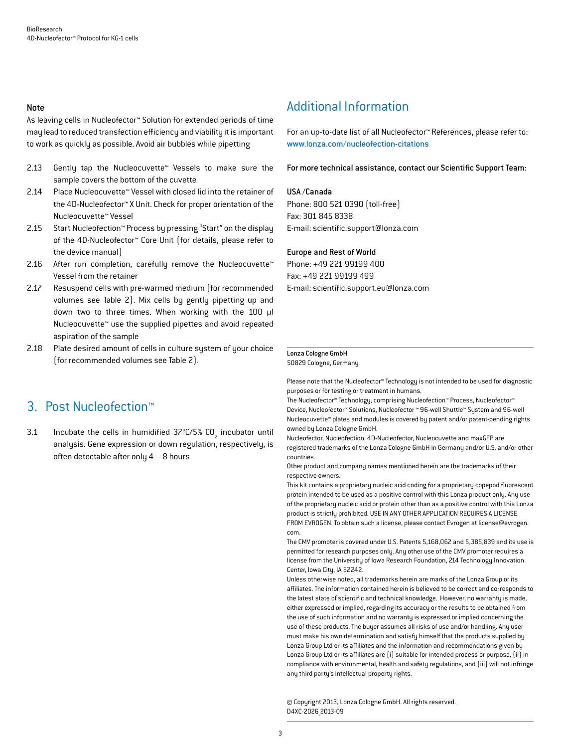#### Note

As leaving cells in Nucleofector™ Solution for extended periods of time may lead to reduced transfection efficiency and viability it is important to work as quickly as possible. Avoid air bubbles while pipetting

- 2.13 Gently tap the Nucleocuvette™ Vessels to make sure the sample covers the bottom of the cuvette
- 2.14 Place Nucleocuvette™ Vessel with closed lid into the retainer of the 4D-Nucleofector™ X Unit. Check for proper orientation of the Nucleocuvette™ Vessel
- 2.15 Start Nucleofection™ Process by pressing "Start" on the display of the 4D-Nucleofector™ Core Unit (for details, please refer to the device manual)
- 2.16 After run completion, carefully remove the Nucleocuvette™ Vessel from the retainer
- 2.17 Resuspend cells with pre-warmed medium (for recommended volumes see Table 2). Mix cells by gently pipetting up and down two to three times. When working with the 100 µl Nucleocuvette™ use the supplied pipettes and avoid repeated aspiration of the sample
- 2.18 Plate desired amount of cells in culture system of your choice (for recommended volumes see Table 2).

### 3. Post Nucleofection™

3.1 Incubate the cells in humidified  $37^{\circ}$ C/5% CO<sub>2</sub> incubator until analysis. Gene expression or down regulation, respectively, is often detectable after only  $4 - 8$  hours

### Additional Information

For an up-to-date list of all Nucleofector™ References, please refer to: www.lonza.com/nucleofection-citations

For more technical assistance, contact our Scientific Support Team:

#### USA /Canada

Phone: 800 521 0390 (toll-free) Fax: 301 845 8338 E-mail: scientific.support@lonza.com

#### Europe and Rest of World

Phone: +49 221 99199 400 Fax: +49 221 99199 499 E-mail: scientific.support.eu@lonza.com

#### Lonza Cologne GmbH

50829 Cologne, Germany

Please note that the Nucleofector™ Technology is not intended to be used for diagnostic purposes or for testing or treatment in humans.

The Nucleofector™ Technology, comprising Nucleofection™ Process, Nucleofector™ Device, Nucleofector™ Solutions, Nucleofector ™ 96-well Shuttle™ System and 96-well Nucleocuvette™ plates and modules is covered by patent and/or patent-pending rights owned by Lonza Cologne GmbH.

Nucleofector, Nucleofection, 4D-Nucleofector, Nucleocuvette and maxGFP are registered trademarks of the Lonza Cologne GmbH in Germany and/or U.S. and/or other countries.

Other product and company names mentioned herein are the trademarks of their respective owners.

This kit contains a proprietary nucleic acid coding for a proprietary copepod fluorescent protein intended to be used as a positive control with this Lonza product only. Any use of the proprietary nucleic acid or protein other than as a positive control with this Lonza product is strictly prohibited. USE IN ANY OTHER APPLICATION REQUIRES A LICENSE FROM EVROGEN. To obtain such a license, please contact Evrogen at license@evrogen. com.

The CMV promoter is covered under U.S. Patents 5,168,062 and 5,385,839 and its use is permitted for research purposes only. Any other use of the CMV promoter requires a license from the University of Iowa Research Foundation, 214 Technology Innovation Center, Iowa City, IA 52242.

Unless otherwise noted, all trademarks herein are marks of the Lonza Group or its affiliates. The information contained herein is believed to be correct and corresponds to the latest state of scientific and technical knowledge. However, no warranty is made, either expressed or implied, regarding its accuracy or the results to be obtained from the use of such information and no warranty is expressed or implied concerning the use of these products. The buyer assumes all risks of use and/or handling. Any user must make his own determination and satisfy himself that the products supplied by Lonza Group Ltd or its affiliates and the information and recommendations given by Lonza Group Ltd or its affiliates are (i) suitable for intended process or purpose, (ii) in compliance with environmental, health and safety regulations, and (iii) will not infringe any third party's intellectual property rights.

© Copyright 2013, Lonza Cologne GmbH. All rights reserved. D4XC-2026\_2013-09